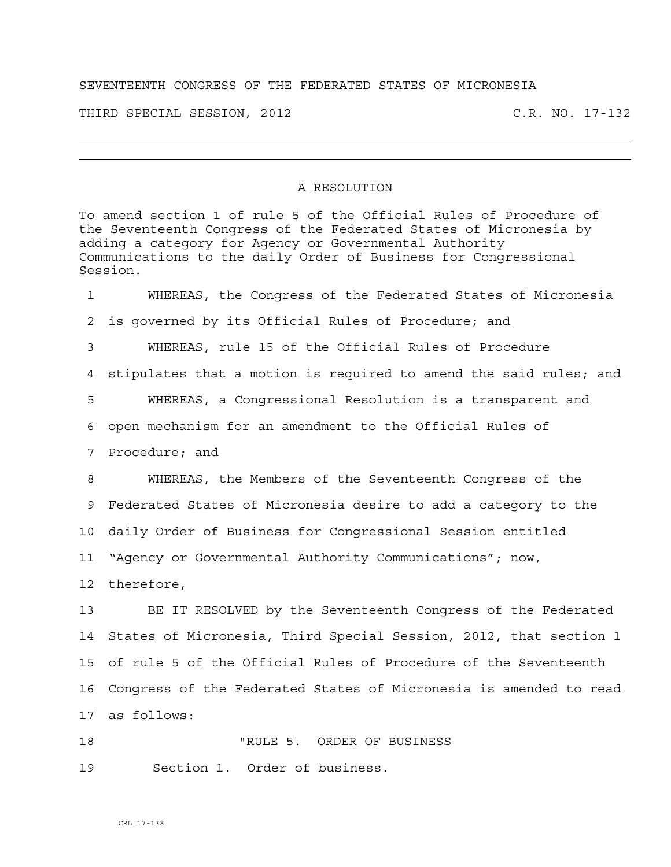## SEVENTEENTH CONGRESS OF THE FEDERATED STATES OF MICRONESIA

THIRD SPECIAL SESSION, 2012 C.R. NO. 17-132

## A RESOLUTION

To amend section 1 of rule 5 of the Official Rules of Procedure of the Seventeenth Congress of the Federated States of Micronesia by adding a category for Agency or Governmental Authority Communications to the daily Order of Business for Congressional Session.

1 WHEREAS, the Congress of the Federated States of Micronesia 2 is governed by its Official Rules of Procedure; and 3 WHEREAS, rule 15 of the Official Rules of Procedure 4 stipulates that a motion is required to amend the said rules; and 5 WHEREAS, a Congressional Resolution is a transparent and 6 open mechanism for an amendment to the Official Rules of 7 Procedure; and 8 WHEREAS, the Members of the Seventeenth Congress of the 9 Federated States of Micronesia desire to add a category to the 10 daily Order of Business for Congressional Session entitled 11 "Agency or Governmental Authority Communications"; now, 12 therefore, 13 BE IT RESOLVED by the Seventeenth Congress of the Federated 14 States of Micronesia, Third Special Session, 2012, that section 1 15 of rule 5 of the Official Rules of Procedure of the Seventeenth 16 Congress of the Federated States of Micronesia is amended to read 17 as follows:

18 TRULE 5. ORDER OF BUSINESS 19 Section 1. Order of business.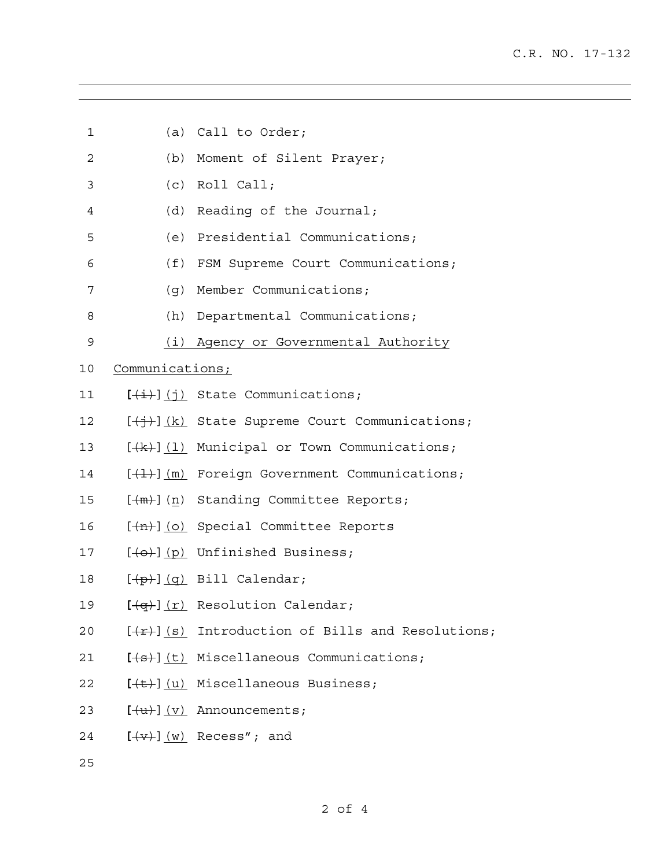| 1  |                 | (a) Call to Order;                                                   |
|----|-----------------|----------------------------------------------------------------------|
| 2  |                 | (b) Moment of Silent Prayer;                                         |
| 3  |                 | $(c)$ Roll Call;                                                     |
| 4  |                 | (d) Reading of the Journal;                                          |
| 5  |                 | (e) Presidential Communications;                                     |
| 6  |                 | (f) FSM Supreme Court Communications;                                |
| 7  |                 | (g) Member Communications;                                           |
| 8  |                 | (h) Departmental Communications;                                     |
| 9  |                 | (i) Agency or Governmental Authority                                 |
| 10 | Communications; |                                                                      |
| 11 |                 | $[\frac{1}{2}, \frac{1}{2}]$ (j) State Communications;               |
| 12 |                 | $[\frac{1}{2}, \frac{1}{2}]$ (k) State Supreme Court Communications; |
| 13 |                 | $[\frac{1}{k}]$ (1) Municipal or Town Communications;                |
| 14 |                 | $[\frac{1}{2}, \frac{1}{2}]$ (m) Foreign Government Communications;  |
| 15 |                 | [(m)] (n) Standing Committee Reports;                                |
| 16 |                 | $[-(n)]$ (o) Special Committee Reports                               |
| 17 |                 | $[\Theta(-)]$ (p) Unfinished Business;                               |
| 18 |                 | $[\frac{p}{p}] (q)$ Bill Calendar;                                   |
| 19 |                 | $\left[\frac{1}{q}\right]$ (r) Resolution Calendar;                  |
| 20 |                 | $[\frac{f(x)}{g}]$ (s) Introduction of Bills and Resolutions;        |
| 21 |                 | $[+s+]$ (t) Miscellaneous Communications;                            |
| 22 |                 | $[\overline{(+t)}](u)$ Miscellaneous Business;                       |
| 23 |                 | $[\frac{u}{u}](v)$ Announcements;                                    |
| 24 |                 | $[\overline{(+\mathbf{v})}]$ $(w)$ Recess"; and                      |
| 25 |                 |                                                                      |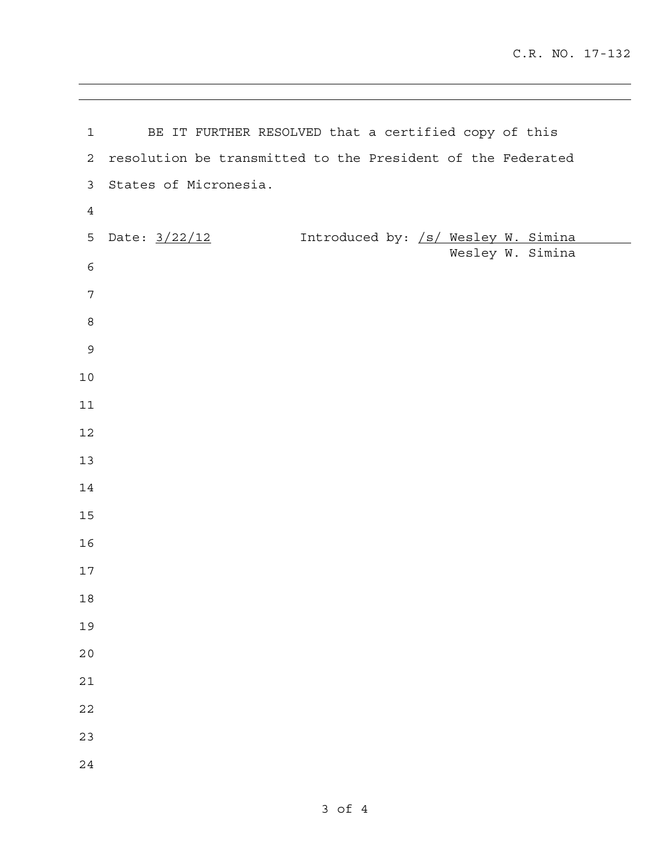| $\mathbf{1}$   | BE IT FURTHER RESOLVED that a certified copy of this        |
|----------------|-------------------------------------------------------------|
| $\mathbf{2}$   | resolution be transmitted to the President of the Federated |
| 3              | States of Micronesia.                                       |
| $\overline{4}$ |                                                             |
| 5              | Date: 3/22/12<br>Introduced by: /s/ Wesley W. Simina        |
| $\epsilon$     | Wesley W. Simina                                            |
| 7              |                                                             |
| $\,8\,$        |                                                             |
| $\mathsf 9$    |                                                             |
| $10$           |                                                             |
| 11             |                                                             |
| 12             |                                                             |
| 13             |                                                             |
|                |                                                             |
| 14             |                                                             |
| $15$           |                                                             |
| 16             |                                                             |
| $17$           |                                                             |
| $18\,$         |                                                             |
| 19             |                                                             |
| 20             |                                                             |
| 21             |                                                             |
| 22             |                                                             |
| 23             |                                                             |
| 24             |                                                             |